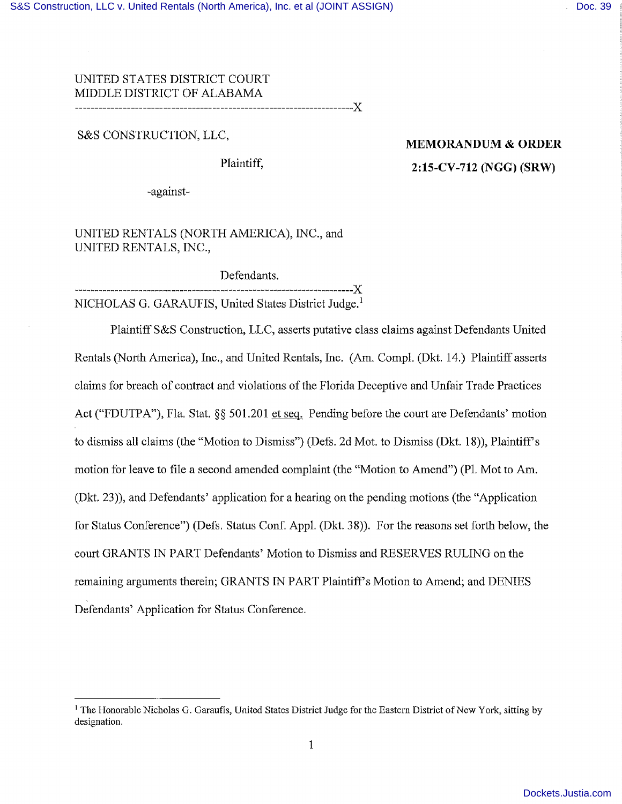## UNITED STATES DISTRICT COURT MIDDLE DISTRICT OF ALABAMA x

*S&S* CONSTRUCTION, LLC,

# **MEMORANDUM** & **ORDER** Plaintiff, **2:15-CV-712 (NGG) (SRW)**

-against-

UNITED RENTALS (NORTH AMERICA), INC., and UNITED RENTALS, INC.,

Defendants.

NICHOLAS G. GARAUFIS, United States District Judge.'

---------------------------------------------------x

Plaintiff S&S Construction, LLC, asserts putative class claims against Defendants United Rentals (North America), Inc., and United Rentals, Inc. (Am. Compl. (Dkt. 14.) Plaintiff asserts claims for breach of contract and violations of the Florida Deceptive and Unfair Trade Practices Act ("FDUTPA"), Fla, Stat, §§ 501.201 et seq. Pending before the court are Defendants' motion to dismiss all claims (the "Motion to Dismiss") (Defs. 2d Mot. to Dismiss (Dkt. 18)), Plaintiff's motion for leave to file a second amended complaint (the "Motion to Amend") (P1. Mot to Am. (Dkt. 23)), and Defendants' application for a hearing on the pending motions (the "Application for Status Conference") (Defs. Status Conf, Appi. (Dkt. 38)). For the reasons set forth below, the court GRANTS IN PART Defendants' Motion to Dismiss and RESERVES RULING on the remaining arguments therein; GRANTS IN PART Plaintiff's Motion to Amend; and DENIES Defendants' Application for Status Conference.

<sup>&</sup>lt;sup>1</sup> The Honorable Nicholas G. Garaufis, United States District Judge for the Eastern District of New York, sitting by designation.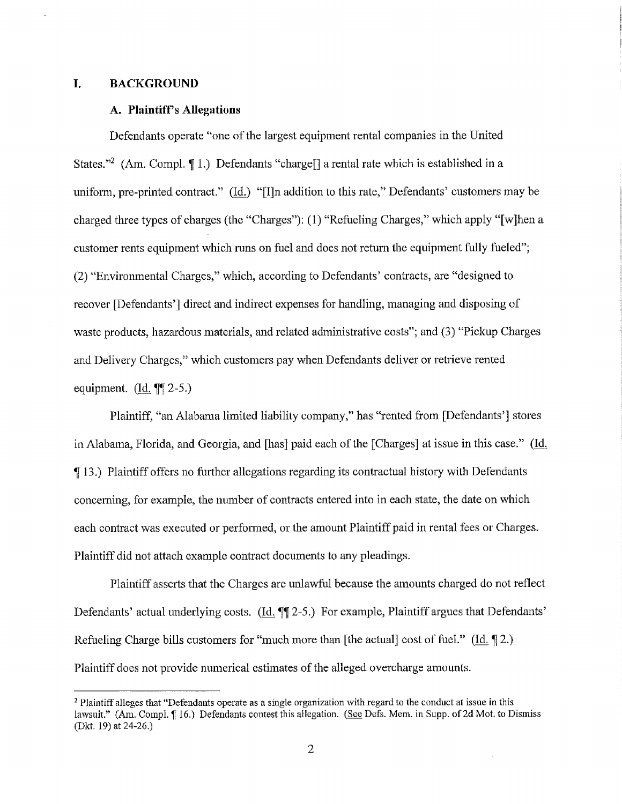### **I. BACKGROUND**

### **A. Plaintiffs Allegations**

Defendants operate "one of the largest equipment rental companies in the United States."<sup>2</sup> (Am. Compl. 11.) Defendants "charge<sup>[]</sup> a rental rate which is established in a uniform, pre-printed contract." (Id.) "[I]n addition to this rate," Defendants' customers may be charged three types of charges (the "Charges"): (1) "Refueling Charges," which apply "[w]hen a customer rents equipment which runs on fuel and does not return the equipment fully fueled"; (2) "Environmental Charges," which, according to Defendants' contracts, are "designed to recover [Defendants'] direct and indirect expenses for handling, managing and disposing of waste products, hazardous materials, and related administrative costs"; and (3) "Pickup Charges and Delivery Charges," which customers pay when Defendants deliver or retrieve rented equipment.  $(\text{Id. } \P \P \text{ 2-5.})$ 

Plaintiff, "an Alabama limited liability company," has "rented from [Defendants'] stores in Alabama, Florida, and Georgia, and [has] paid each of the [Charges] at issue in this case." (Id. ¶ 13.) Plaintiff offers no further allegations regarding its contractual history with Defendants concerning, for example, the number of contracts entered into in each state, the date on which each contract was executed or performed, or the amount Plaintiff paid in rental fees or Charges. Plaintiff did not attach example contract documents to any pleadings.

Plaintiff asserts that the Charges are unlawful because the amounts charged do not reflect Defendants' actual underlying costs. (Id.  $\P$  2-5.) For example, Plaintiff argues that Defendants' Refueling Charge bills customers for "much more than [the actual] cost of fuel." (Id.  $\P$ 2.) Plaintiff does not provide numerical estimates of the alleged overcharge amounts.

<sup>&</sup>lt;sup>2</sup> Plaintiff alleges that "Defendants operate as a single organization with regard to the conduct at issue in this lawsuit." (Am. Compl. ¶ 16.) Defendants contest this allegation. (See Defs. Mem. in Supp. of 2d Mot. to Dismiss (Dkt. 19) at 24-26.)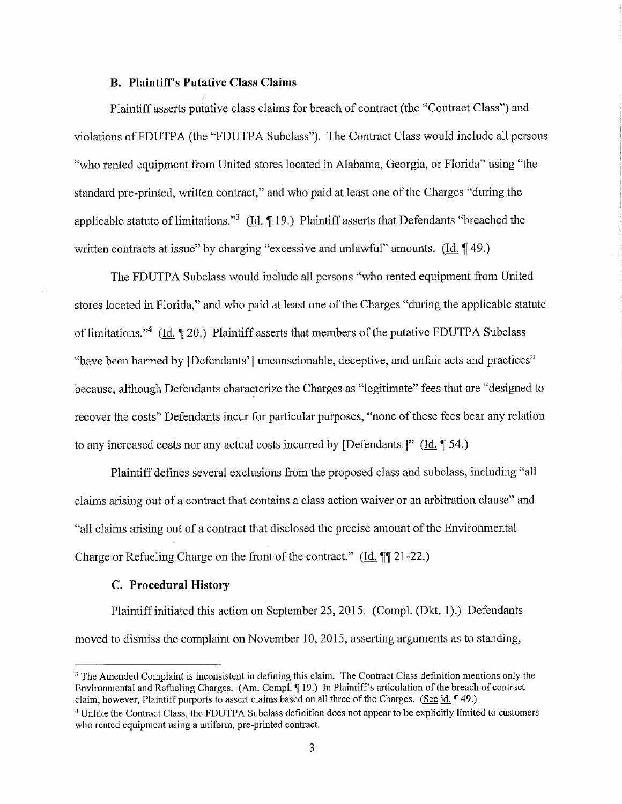### **B. Plaintiff's Putative Class Claims**

Plaintiff *asserts* putative class claims for breach of contract (the "Contract Class") and violations of FDUTPA (the "FDUTPA Subclass"). The Contract Class would include all persons "who rented equipment from United stores located in Alabama, Georgia, or Florida" using "the standard pre-printed, written contract," and who paid at least one of the Charges "during the applicable statute of limitations."3 *(I4* ¶ 19.) Plaintiff asserts that Defendants "breached the written contracts at issue" by charging "excessive and unlawful" amounts. *(Id.* 149.)

The FDUTPA Subclass would include all persons "who rented equipment from United stores located in Florida," and who paid at least one of the Charges "during the applicable statute of limitations."<sup>4</sup> (Id.  $\sqrt{20}$ .) Plaintiff asserts that members of the putative FDUTPA Subclass "have been harmed by [Defendants'] unconscionable, deceptive, and unfair acts and practices" because, although Defendants characterize the Charges as "legitimate" fees that are "designed to recover the costs" Defendants incur for particular purposes, "none of these fees bear any relation to any increased costs nor any actual costs incurred by [Defendants.]" (Id. 154.)

Plaintiff defines several exclusions from the proposed class and subclass, including "all claims arising out of a contract that contains a class action waiver or an arbitration clause" and "all claims arising out of a contract that disclosed the precise amount of the Environmental Charge or Refueling Charge on the front of the contract." *(Id.* ¶[21-22.)

### **C. Procedural History**

Plaintiff initiated this action on September *25,* 2015. (Compi. (Dkt. 1).) Defendants moved to dismiss the complaint on November 10, 2015, asserting arguments as to standing,

<sup>&</sup>lt;sup>3</sup> The Amended Complaint is inconsistent in defining this claim. The Contract Class definition mentions only the Environmental and Refueling Charges. (Am. Compl. 19.) In Plaintiff's articulation of the breach of contract claim, however, Plaintiff purports to assert claims based on all three of the Charges. (See id. 149.)

<sup>&</sup>lt;sup>4</sup> Unlike the Contract Class, the FDUTPA Subclass definition does not appear to be explicitly limited to customers who rented equipment using a uniform, pre-printed contract.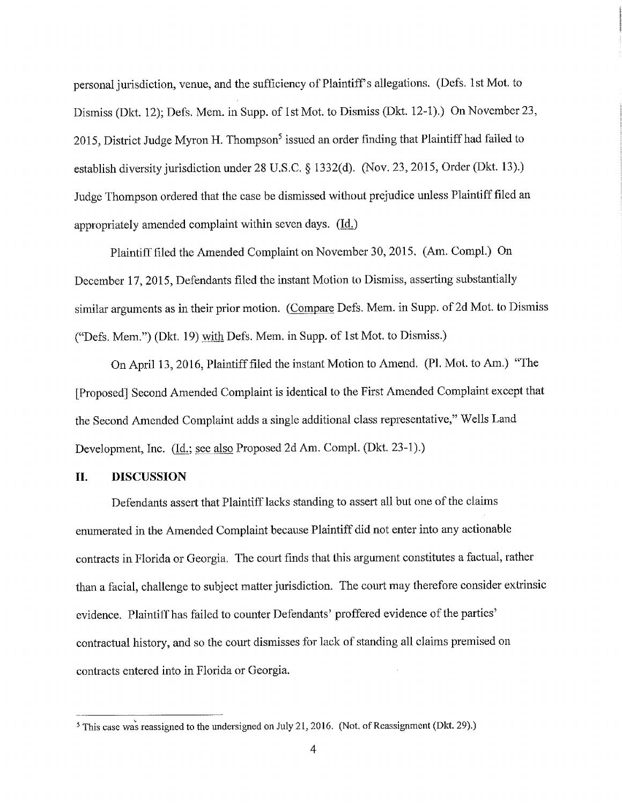personal jurisdiction, venue, and the sufficiency of Plaintiff's allegations. (Defs. 1st Mot. to Dismiss (Dkt. 12); Defs. Mem. in Supp. of 1st Mot. to Dismiss (Dkt. 12-1).) On November 23, 2015, District Judge Myron H. Thompson<sup>5</sup> issued an order finding that Plaintiff had failed to establish diversity jurisdiction under 28 U.S.C. § 1332(d). (Nov. 23, 2015, Order (Dkt. 13).) Judge Thompson ordered that the case be dismissed without prejudice unless Plaintiff filed an appropriately amended complaint within seven days. (Id.)

Plaintiff filed the Amended Complaint on November 30, 2015. (Am. Compi.) On December 17, 2015, Defendants filed the instant Motion to Dismiss, asserting substantially similar arguments as in their prior motion. (Compare Defs. Mem. in Supp. of 2d Mot. to Dismiss ("Defs. Mem.") (Dkt. 19) with Defs. Mem. in Supp. of 1st Mot. to Dismiss.)

On April 13, 2016, Plaintiff filed the instant Motion to Amend. (P1. Mot. to Am.) "The [Proposed] Second Amended Complaint is identical to the First Amended Complaint except that the Second Amended Complaint adds a single additional class representative," Wells Land Development, Inc. (Id.; see also Proposed 2d Am. Compl. (Dkt. 23-1).)

## **II. DISCUSSION**

Defendants assert that Plaintiff lacks standing to assert all but one of the claims enumerated in the Amended Complaint because Plaintiff did not enter into any actionable contracts in Florida or Georgia. The court finds that this argument constitutes a factual, rather than a facial, challenge to subject matter jurisdiction. The court may therefore consider extrinsic evidence. Plaintiff has failed to counter Defendants' proffered evidence of the parties' contractual history, and so the court dismisses for lack of standing all claims premised on contracts entered into in Florida or Georgia.

<sup>&</sup>lt;sup>5</sup> This case was reassigned to the undersigned on July 21, 2016. (Not. of Reassignment (Dkt. 29).)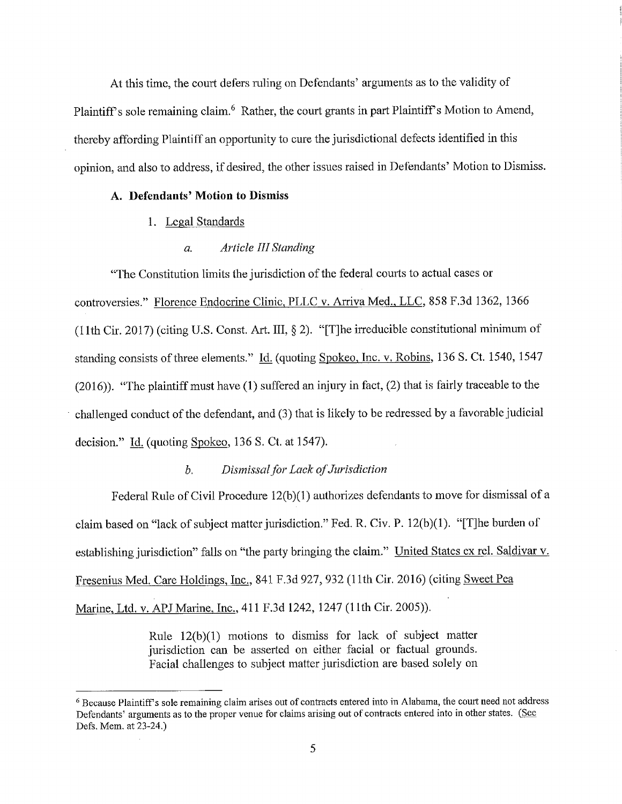At this time, the court defers ruling on Defendants' arguments as to the validity of Plaintiff's sole remaining claim.<sup>6</sup> Rather, the court grants in part Plaintiff's Motion to Amend, thereby affording Plaintiff an opportunity to cure the jurisdictional defects identified in this opinion, and also to address, if desired, the other issues raised in Defendants' Motion to Dismiss.

## **A. Defendants' Motion to Dismiss**

1. Legal Standards

### *a. Article III Standing*

"The Constitution limits the jurisdiction of the federal courts to actual cases or controversies." Florence Endocrine Clinic, PLLC v. Arriva Med., LLC, *858* F,3d 1362, *1366* (11th Cir. 2017) (citing U.S. Const. Art. III, § 2). "[T]he irreducible constitutional minimum of standing consists of three elements." Id. (quoting Spokeo, Inc. v, Robins, 136 S. Ct. 1540, 1547 (2016)). "The plaintiff must have (1) suffered an injury in fact, (2) that is fairly traceable to the challenged conduct of the defendant, and (3) that is likely to be redressed by a favorable judicial decision." Id. (quoting Spokeo, 136 S. Ct. at 1547).

## *b. Dismissal for Lack of Jurisdiction*

Federal Rule of Civil Procedure 12(b)(1) authorizes defendants to move for dismissal of a claim based on "lack of subject matter jurisdiction." Fed. R. Civ. P. 12(b)(1). "[T]he burden of establishing jurisdiction" falls on "the party bringing the claim." United States ex rel. Saldivar v. Fresenius Med. Care Holdings, Inc., 841 F.3d 927, 932 (11th Cir. 2016) (citing Sweet Pea Marine, Ltd. v. APJ Marine, Inc., 411 F.3d 1242, 1247 (11th Cir. *2005)).*

> Rule 12(b)(1) motions to dismiss for lack of subject matter jurisdiction can be asserted on either facial or factual grounds. Facial challenges to subject matter jurisdiction are based solely on

<sup>&</sup>lt;sup>6</sup> Because Plaintiff's sole remaining claim arises out of contracts entered into in Alabama, the court need not address Defendants' arguments as to the proper venue for claims arising out of contracts entered into in other states. (See Defs. Mem. at 23-24.)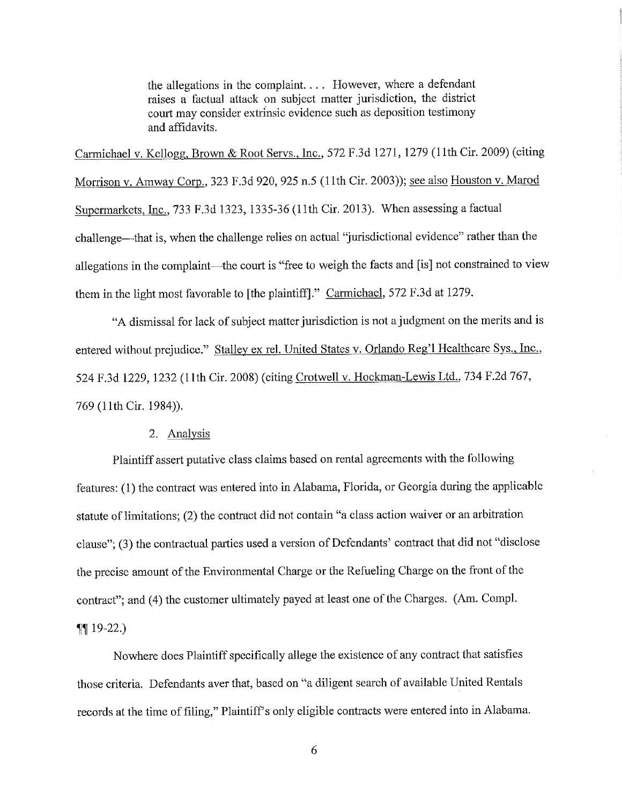the allegations in the complaint. . . . However, where a defendant raises a factual attack on subject matter jurisdiction, the district court may consider extrinsic evidence such as deposition testimony and affidavits.

Carmichael v. Kellogg, Brown & Root Servs., Inc., *572* F.3d 1271, 1279 (11th Cir. 2009) (citing Morrison v. Amway Corp., 323 F.3d 920, 925 *n.5* (11th Cir. 2003)); see also Houston v. Marod Supermarkets, Inc., 733 F.3d 1323, *1335-36* (11th Cir. 2013). When assessing a factual challenge—that is, when the challenge relies on actual "jurisdictional evidence" rather than the allegations in the complaint—the court is "free to weigh the facts and [is] not constrained to view them in the light most favorable to [the plaintiff]." Carmichael, 572 F.3d at 1279.

"A dismissal for lack of subject matter jurisdiction is not a judgment on the merits and is entered without prejudice." Stalley ex rel. United States v. Orlando Reg'l Healthcare Sys., Inc., 524 F.3d 1229, 1232 (11th Cir. 2008) (citing Crotwell v. Hockman-Lewis Ltd., 734 F.2d 767, 769 (11th Cir. 1984)).

## 2. Analysis

Plaintiff assert putative class claims based on rental agreements with the following features: (1) the contract was entered into in Alabama, Florida, or Georgia during the applicable statute of limitations; (2) the contract did not contain "a class action waiver or an arbitration clause"; (3) the contractual parties used a version of Defendants' contract that did not "disclose the precise amount of the Environmental Charge or the Refueling Charge on the front of the contract"; and (4) the customer ultimately payed at least one of the Charges. (Am. Compl.  $\P$  19-22.

Nowhere does Plaintiff specifically allege the existence of any contract that satisfies those criteria. Defendants aver that, based on "a diligent search of available United Rentals records at the time of filing," Plaintiff's only eligible contracts were entered into in Alabama.

6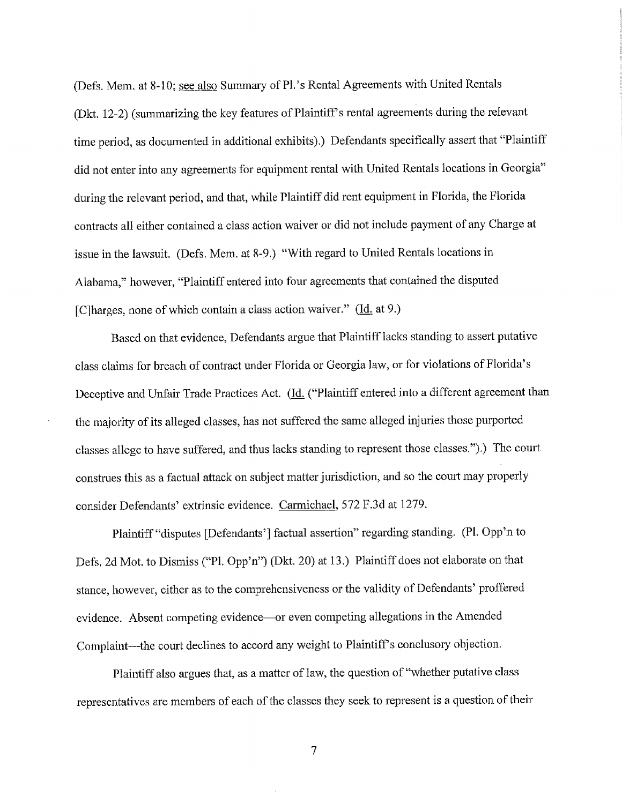(Defs. Mem. at 8-10; see also Summary of Pl.'s Rental Agreements with United Rentals (Dkt. 12-2) (summarizing the key features of Plaintiff's rental agreements during the relevant time period, as documented in additional exhibits).) Defendants specifically assert that "Plaintiff did not enter into any agreements for equipment rental with United Rentals locations in Georgia" during the relevant period, and that, while Plaintiff did rent equipment in Florida, the Florida contracts all either contained a class action waiver or did not include payment of any Charge at issue in the lawsuit. (Defs. Mem. at 8-9.) "With regard to United Rentals locations in Alabama," however, "Plaintiff entered into four agreements that contained the disputed [C] harges, none of which contain a class action waiver."  $(\underline{Id}, \underline{at} 9.)$ 

Based on that evidence, Defendants argue that Plaintiff lacks standing to assert putative class claims for breach of contract under Florida or Georgia law, or for violations of Florida's Deceptive and Unfair Trade Practices Act. (Id. ("Plaintiff entered into a different agreement than the majority of its alleged classes, has not suffered the same alleged injuries those purported classes allege to have suffered, and thus lacks standing to represent those classes.").) The court construes this as a factual attack on subject matter jurisdiction, and so the court may properly consider Defendants' extrinsic evidence. Carmichael, *572* F.3d at 1279.

Plaintiff "disputes [Defendants'] factual assertion" regarding standing. (P1. Opp'n to Defs, 2d Mot. to Dismiss ("P1. Opp'n") (Dkt. 20) at 13.) Plaintiff does not elaborate on that stance, however, either as to the comprehensiveness or the validity of Defendants' proffered evidence. Absent competing evidence—or even competing allegations in the Amended Complaint—the court declines to accord any weight to Plaintiff's conclusory objection.

Plaintiff also argues that, as a matter of law, the question of "whether putative class representatives are members of each of the classes they seek to represent is a question of their

7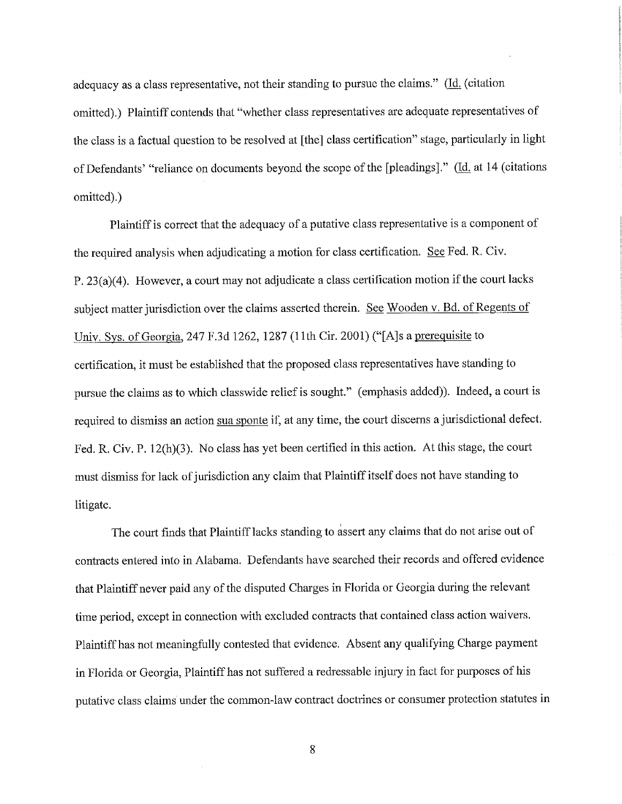adequacy as a class representative, not their standing to pursue the claims." ( $\underline{Id}$ , (citation omitted).) Plaintiff contends that "whether class representatives are adequate representatives of the class is a factual question to be resolved at [the] class certification" stage, particularly in light of Defendants' "reliance on documents beyond the scope of the [pleadings]." (Id. at 14 (citations omitted).)

Plaintiff is correct that the adequacy of a putative class representative is a component of the required analysis when adjudicating a motion for class certification. See Fed. R. Civ. P. 23(a)(4). However, a court may not adjudicate a class certification motion if the court lacks subject matter jurisdiction over the claims asserted therein. See Wooden v. Bd. of Regents of Univ. Sys. of Georgia, 247 F.3d 1262, 1287 (11th Cir. 2001) ("[A]s a prerequisite to certification, it must be established that the proposed class representatives have standing to pursue the claims as to which classwide relief is sought." (emphasis added)). Indeed, a court is required to dismiss an action sua sponte if, at any time, the court discerns a jurisdictional defect. Fed. R. Civ. P. 12(h)(3). No class has yet been certified in this action. At this stage, the court must dismiss for lack of jurisdiction any claim that Plaintiff itself does not have standing to litigate.

The court finds that Plaintiff lacks standing to assert any claims that do not arise out of contracts entered into in Alabama. Defendants have searched their records and offered evidence that Plaintiff never paid any of the disputed Charges in Florida or Georgia during the relevant time period, except in connection with excluded contracts that contained class action waivers. Plaintiff has not meaningfully contested that evidence. Absent any qualifying Charge payment in Florida or Georgia, Plaintiff has not suffered a redressable injury in fact for purposes of his putative class claims under the common-law contract doctrines or consumer protection statutes in

8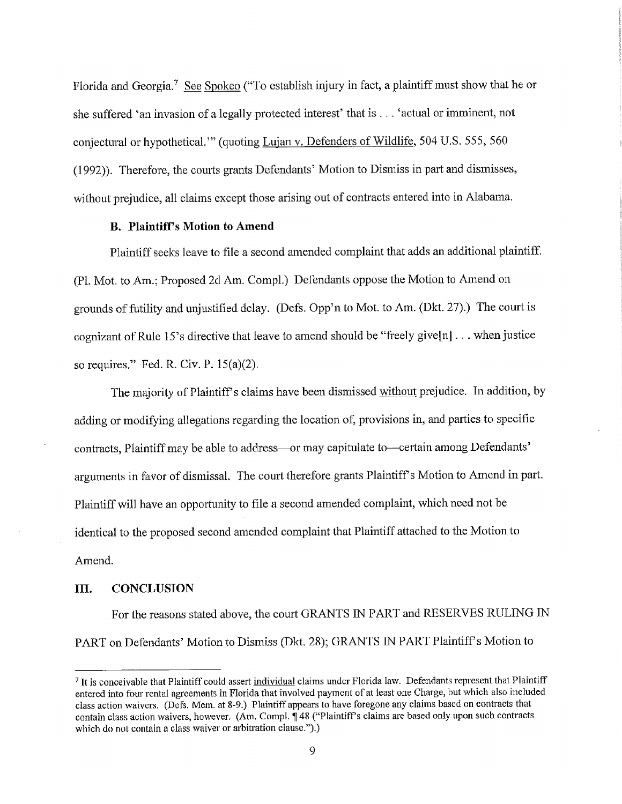Florida and Georgia.<sup>7</sup> See Spokeo ("To establish injury in fact, a plaintiff must show that he or she suffered 'an invasion of a legally protected interest' that is. . . 'actual or imminent, not conjectural or hypothetical."' (quoting Lujan v, Defenders of Wildlife, *504* U. S. *555, 560* (1992)). Therefore, the courts grants Defendants' Motion to Dismiss in part and dismisses, without prejudice, all claims except those arising out of contracts entered into in Alabama.

## **B. Plaintiff's Motion to Amend**

Plaintiff seeks leave to file a second amended complaint that adds an additional plaintiff. (P1. Mot. to Am.; Proposed 2d Am. Compl.) Defendants oppose the Motion to Amend on grounds of futility and unjustified delay. (Defs. Opp'n to Mot. to Am. (Dkt. 27).) The court is cognizant of Rule 15's directive that leave to amend should be "freely give[n] . . . when justice so requires." Fed. R. Civ. P. 15(a)(2).

The majority of Plaintiff's claims have been dismissed without prejudice. In addition, by adding or modifying allegations regarding the location of, provisions in, and parties to specific contracts, Plaintiff may be able to address-or may capitulate to--certain among Defendants' arguments in favor of dismissal. The court therefore grants Plaintiff's Motion to Amend in part. Plaintiff will have an opportunity to file a second amended complaint, which need not be identical to the proposed second amended complaint that Plaintiff attached to the Motion to Amend.

### **III. CONCLUSION**

For the reasons stated above, the court GRANTS IN PART and RESERVES RULING IN PART on Defendants' Motion to Dismiss (Dkt. 28); GRANTS IN PART Plaintiff's Motion to

<sup>&</sup>lt;sup>7</sup> It is conceivable that Plaintiff could assert individual claims under Florida law. Defendants represent that Plaintiff entered into four rental agreements in Florida that involved payment of at least one Charge, but which also included class action waivers. (Defs. Mem. at 8-9.) Plaintiff appears to have foregone any claims based on contracts that contain class action waivers, however. (Am. Compl. 148 ("Plaintiff's claims are based only upon such contracts which do not contain a class waiver or arbitration clause.").)